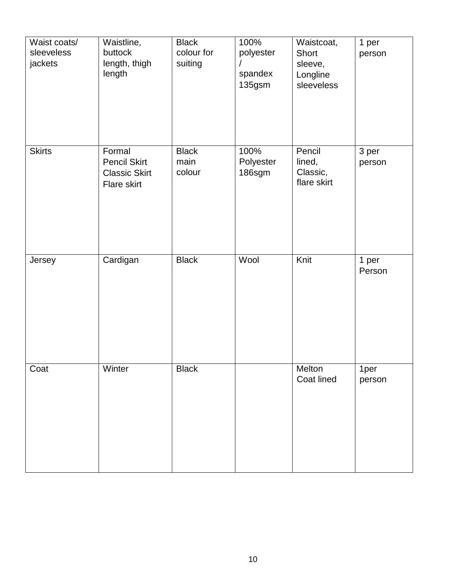| Waist coats/<br>sleeveless<br>jackets | Waistline,<br>buttock<br>length, thigh<br>length                     | <b>Black</b><br>colour for<br>suiting | 100%<br>polyester<br>spandex<br>135gsm | Waistcoat,<br>Short<br>sleeve,<br>Longline<br>sleeveless | 1 per<br>person |
|---------------------------------------|----------------------------------------------------------------------|---------------------------------------|----------------------------------------|----------------------------------------------------------|-----------------|
| <b>Skirts</b>                         | Formal<br><b>Pencil Skirt</b><br><b>Classic Skirt</b><br>Flare skirt | <b>Black</b><br>main<br>colour        | 100%<br>Polyester<br>186sgm            | Pencil<br>lined,<br>Classic,<br>flare skirt              | 3 per<br>person |
| Jersey                                | Cardigan                                                             | <b>Black</b>                          | Wool                                   | Knit                                                     | 1 per<br>Person |
| Coat                                  | Winter                                                               | <b>Black</b>                          |                                        | Melton<br>Coat lined                                     | 1per<br>person  |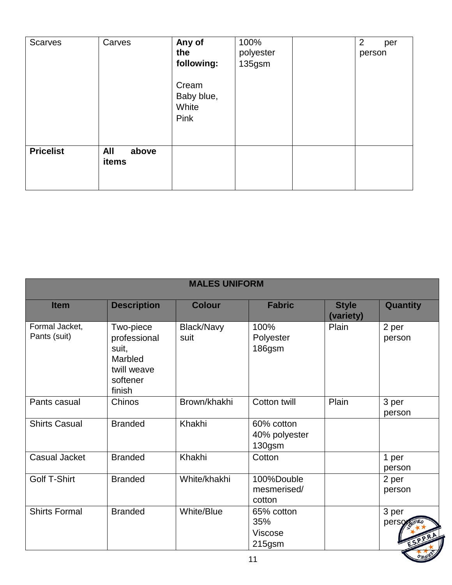| Scarves          | Carves                | Any of<br>the<br>following:<br>Cream<br>Baby blue,<br>White<br>Pink | 100%<br>polyester<br>135gsm | $\overline{2}$<br>per<br>person |
|------------------|-----------------------|---------------------------------------------------------------------|-----------------------------|---------------------------------|
| <b>Pricelist</b> | All<br>above<br>items |                                                                     |                             |                                 |

| <b>MALES UNIFORM</b>           |                                                                                    |                    |                                              |                           |                               |
|--------------------------------|------------------------------------------------------------------------------------|--------------------|----------------------------------------------|---------------------------|-------------------------------|
| <b>Item</b>                    | <b>Description</b>                                                                 | <b>Colour</b>      | <b>Fabric</b>                                | <b>Style</b><br>(variety) | Quantity                      |
| Formal Jacket,<br>Pants (suit) | Two-piece<br>professional<br>suit,<br>Marbled<br>twill weave<br>softener<br>finish | Black/Navy<br>suit | 100%<br>Polyester<br>186gsm                  | Plain                     | 2 per<br>person               |
| Pants casual                   | Chinos                                                                             | Brown/khakhi       | Cotton twill                                 | Plain                     | 3 per<br>person               |
| <b>Shirts Casual</b>           | <b>Branded</b>                                                                     | Khakhi             | 60% cotton<br>40% polyester<br>130gsm        |                           |                               |
| <b>Casual Jacket</b>           | <b>Branded</b>                                                                     | Khakhi             | Cotton                                       |                           | 1 per<br>person               |
| Golf T-Shirt                   | <b>Branded</b>                                                                     | White/khakhi       | 100%Double<br>mesmerised/<br>cotton          |                           | 2 per<br>person               |
| <b>Shirts Formal</b>           | <b>Branded</b>                                                                     | White/Blue         | 65% cotton<br>35%<br>Viscose<br>215gsm<br>11 |                           | 3 per<br>perso<br><b>CIED</b> |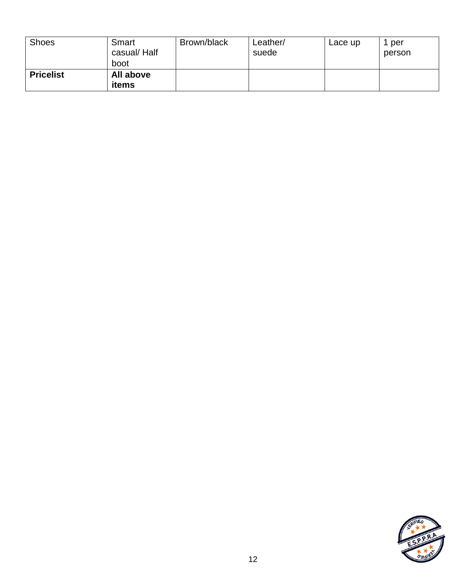| <b>Shoes</b>     | Smart<br>casual/Half<br>boot | Brown/black | Leather/<br>suede | Lace up | per<br>person |
|------------------|------------------------------|-------------|-------------------|---------|---------------|
| <b>Pricelist</b> | All above<br>items           |             |                   |         |               |

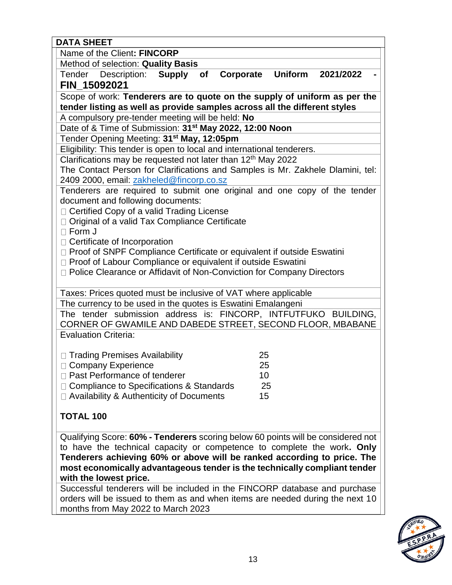| <b>DATA SHEET</b>                                                                                                    |  |  |  |  |  |
|----------------------------------------------------------------------------------------------------------------------|--|--|--|--|--|
| Name of the Client: FINCORP                                                                                          |  |  |  |  |  |
| Method of selection: Quality Basis                                                                                   |  |  |  |  |  |
| <b>Uniform</b><br>Tender Description:<br><b>Supply</b><br>2021/2022<br>Corporate<br>of                               |  |  |  |  |  |
| FIN_15092021                                                                                                         |  |  |  |  |  |
| Scope of work: Tenderers are to quote on the supply of uniform as per the                                            |  |  |  |  |  |
| tender listing as well as provide samples across all the different styles                                            |  |  |  |  |  |
| A compulsory pre-tender meeting will be held: No                                                                     |  |  |  |  |  |
| Date of & Time of Submission: 31 <sup>st</sup> May 2022, 12:00 Noon                                                  |  |  |  |  |  |
| Tender Opening Meeting: 31 <sup>st</sup> May, 12:05pm                                                                |  |  |  |  |  |
| Eligibility: This tender is open to local and international tenderers.                                               |  |  |  |  |  |
| Clarifications may be requested not later than 12 <sup>th</sup> May 2022                                             |  |  |  |  |  |
| The Contact Person for Clarifications and Samples is Mr. Zakhele Dlamini, tel:                                       |  |  |  |  |  |
| 2409 2000, email: zakheled@fincorp.co.sz<br>Tenderers are required to submit one original and one copy of the tender |  |  |  |  |  |
| document and following documents:                                                                                    |  |  |  |  |  |
| □ Certified Copy of a valid Trading License                                                                          |  |  |  |  |  |
| □ Original of a valid Tax Compliance Certificate                                                                     |  |  |  |  |  |
| $\Box$ Form J                                                                                                        |  |  |  |  |  |
| □ Certificate of Incorporation                                                                                       |  |  |  |  |  |
| □ Proof of SNPF Compliance Certificate or equivalent if outside Eswatini                                             |  |  |  |  |  |
| □ Proof of Labour Compliance or equivalent if outside Eswatini                                                       |  |  |  |  |  |
| □ Police Clearance or Affidavit of Non-Conviction for Company Directors                                              |  |  |  |  |  |
|                                                                                                                      |  |  |  |  |  |
| Taxes: Prices quoted must be inclusive of VAT where applicable                                                       |  |  |  |  |  |
| The currency to be used in the quotes is Eswatini Emalangeni                                                         |  |  |  |  |  |
| The tender submission address is: FINCORP, INTFUTFUKO BUILDING,                                                      |  |  |  |  |  |
| CORNER OF GWAMILE AND DABEDE STREET, SECOND FLOOR, MBABANE<br><b>Evaluation Criteria:</b>                            |  |  |  |  |  |
|                                                                                                                      |  |  |  |  |  |
| □ Trading Premises Availability<br>25                                                                                |  |  |  |  |  |
| 25<br>□ Company Experience                                                                                           |  |  |  |  |  |
| □ Past Performance of tenderer<br>10                                                                                 |  |  |  |  |  |
| □ Compliance to Specifications & Standards<br>25                                                                     |  |  |  |  |  |
| $\Box$ Availability & Authenticity of Documents<br>15                                                                |  |  |  |  |  |
|                                                                                                                      |  |  |  |  |  |
| <b>TOTAL 100</b>                                                                                                     |  |  |  |  |  |
|                                                                                                                      |  |  |  |  |  |
| Qualifying Score: 60% - Tenderers scoring below 60 points will be considered not                                     |  |  |  |  |  |
| to have the technical capacity or competence to complete the work. Only                                              |  |  |  |  |  |
| Tenderers achieving 60% or above will be ranked according to price. The                                              |  |  |  |  |  |
| most economically advantageous tender is the technically compliant tender<br>with the lowest price.                  |  |  |  |  |  |
| Successful tenderers will be included in the FINCORP database and purchase                                           |  |  |  |  |  |

Successful tenderers will be included in the FINCORP database and purchase orders will be issued to them as and when items are needed during the next 10 months from May 2022 to March 2023

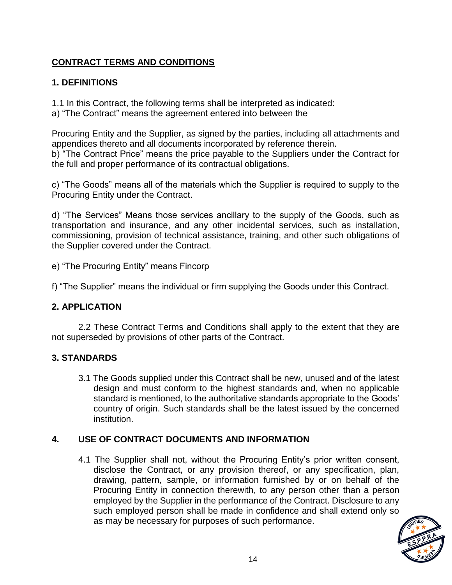# **CONTRACT TERMS AND CONDITIONS**

# **1. DEFINITIONS**

1.1 In this Contract, the following terms shall be interpreted as indicated:

a) "The Contract" means the agreement entered into between the

Procuring Entity and the Supplier, as signed by the parties, including all attachments and appendices thereto and all documents incorporated by reference therein. b) "The Contract Price" means the price payable to the Suppliers under the Contract for the full and proper performance of its contractual obligations.

c) "The Goods" means all of the materials which the Supplier is required to supply to the Procuring Entity under the Contract.

d) "The Services" Means those services ancillary to the supply of the Goods, such as transportation and insurance, and any other incidental services, such as installation, commissioning, provision of technical assistance, training, and other such obligations of the Supplier covered under the Contract.

e) "The Procuring Entity" means Fincorp

f) "The Supplier" means the individual or firm supplying the Goods under this Contract.

## **2. APPLICATION**

2.2 These Contract Terms and Conditions shall apply to the extent that they are not superseded by provisions of other parts of the Contract.

# **3. STANDARDS**

3.1 The Goods supplied under this Contract shall be new, unused and of the latest design and must conform to the highest standards and, when no applicable standard is mentioned, to the authoritative standards appropriate to the Goods' country of origin. Such standards shall be the latest issued by the concerned institution.

# **4. USE OF CONTRACT DOCUMENTS AND INFORMATION**

4.1 The Supplier shall not, without the Procuring Entity's prior written consent, disclose the Contract, or any provision thereof, or any specification, plan, drawing, pattern, sample, or information furnished by or on behalf of the Procuring Entity in connection therewith, to any person other than a person employed by the Supplier in the performance of the Contract. Disclosure to any such employed person shall be made in confidence and shall extend only so as may be necessary for purposes of such performance.

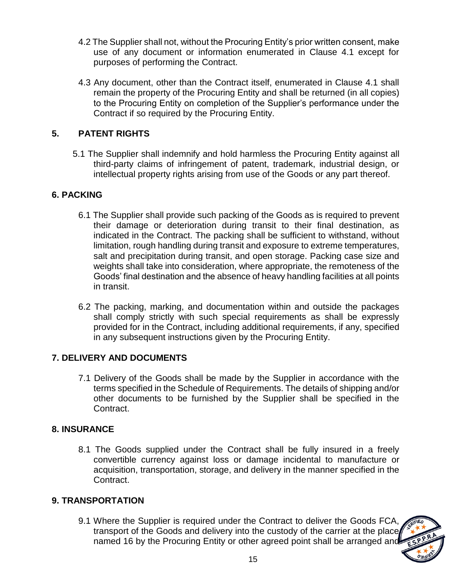- 4.2 The Supplier shall not, without the Procuring Entity's prior written consent, make use of any document or information enumerated in Clause 4.1 except for purposes of performing the Contract.
- 4.3 Any document, other than the Contract itself, enumerated in Clause 4.1 shall remain the property of the Procuring Entity and shall be returned (in all copies) to the Procuring Entity on completion of the Supplier's performance under the Contract if so required by the Procuring Entity.

## **5. PATENT RIGHTS**

5.1 The Supplier shall indemnify and hold harmless the Procuring Entity against all third-party claims of infringement of patent, trademark, industrial design, or intellectual property rights arising from use of the Goods or any part thereof.

## **6. PACKING**

- 6.1 The Supplier shall provide such packing of the Goods as is required to prevent their damage or deterioration during transit to their final destination, as indicated in the Contract. The packing shall be sufficient to withstand, without limitation, rough handling during transit and exposure to extreme temperatures, salt and precipitation during transit, and open storage. Packing case size and weights shall take into consideration, where appropriate, the remoteness of the Goods' final destination and the absence of heavy handling facilities at all points in transit.
- 6.2 The packing, marking, and documentation within and outside the packages shall comply strictly with such special requirements as shall be expressly provided for in the Contract, including additional requirements, if any, specified in any subsequent instructions given by the Procuring Entity.

## **7. DELIVERY AND DOCUMENTS**

7.1 Delivery of the Goods shall be made by the Supplier in accordance with the terms specified in the Schedule of Requirements. The details of shipping and/or other documents to be furnished by the Supplier shall be specified in the Contract.

## **8. INSURANCE**

8.1 The Goods supplied under the Contract shall be fully insured in a freely convertible currency against loss or damage incidental to manufacture or acquisition, transportation, storage, and delivery in the manner specified in the Contract.

## **9. TRANSPORTATION**

9.1 Where the Supplier is required under the Contract to deliver the Goods FCA, transport of the Goods and delivery into the custody of the carrier at the place named 16 by the Procuring Entity or other agreed point shall be arranged and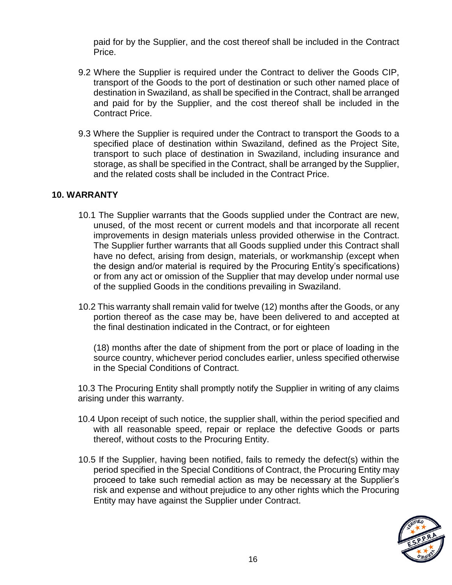paid for by the Supplier, and the cost thereof shall be included in the Contract Price.

- 9.2 Where the Supplier is required under the Contract to deliver the Goods CIP, transport of the Goods to the port of destination or such other named place of destination in Swaziland, as shall be specified in the Contract, shall be arranged and paid for by the Supplier, and the cost thereof shall be included in the Contract Price.
- 9.3 Where the Supplier is required under the Contract to transport the Goods to a specified place of destination within Swaziland, defined as the Project Site, transport to such place of destination in Swaziland, including insurance and storage, as shall be specified in the Contract, shall be arranged by the Supplier, and the related costs shall be included in the Contract Price.

## **10. WARRANTY**

- 10.1 The Supplier warrants that the Goods supplied under the Contract are new, unused, of the most recent or current models and that incorporate all recent improvements in design materials unless provided otherwise in the Contract. The Supplier further warrants that all Goods supplied under this Contract shall have no defect, arising from design, materials, or workmanship (except when the design and/or material is required by the Procuring Entity's specifications) or from any act or omission of the Supplier that may develop under normal use of the supplied Goods in the conditions prevailing in Swaziland.
- 10.2 This warranty shall remain valid for twelve (12) months after the Goods, or any portion thereof as the case may be, have been delivered to and accepted at the final destination indicated in the Contract, or for eighteen

(18) months after the date of shipment from the port or place of loading in the source country, whichever period concludes earlier, unless specified otherwise in the Special Conditions of Contract.

10.3 The Procuring Entity shall promptly notify the Supplier in writing of any claims arising under this warranty.

- 10.4 Upon receipt of such notice, the supplier shall, within the period specified and with all reasonable speed, repair or replace the defective Goods or parts thereof, without costs to the Procuring Entity.
- 10.5 If the Supplier, having been notified, fails to remedy the defect(s) within the period specified in the Special Conditions of Contract, the Procuring Entity may proceed to take such remedial action as may be necessary at the Supplier's risk and expense and without prejudice to any other rights which the Procuring Entity may have against the Supplier under Contract.

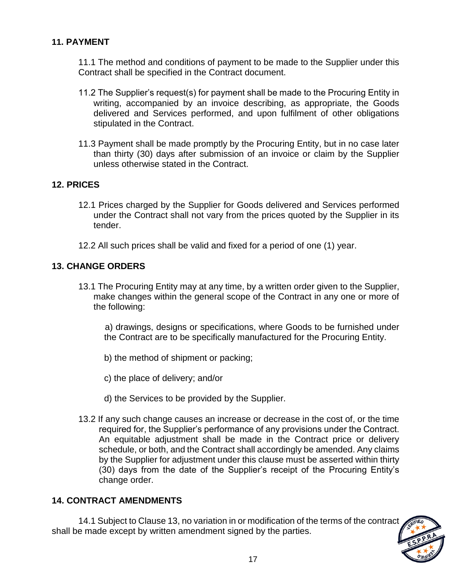## **11. PAYMENT**

11.1 The method and conditions of payment to be made to the Supplier under this Contract shall be specified in the Contract document.

- 11.2 The Supplier's request(s) for payment shall be made to the Procuring Entity in writing, accompanied by an invoice describing, as appropriate, the Goods delivered and Services performed, and upon fulfilment of other obligations stipulated in the Contract.
- 11.3 Payment shall be made promptly by the Procuring Entity, but in no case later than thirty (30) days after submission of an invoice or claim by the Supplier unless otherwise stated in the Contract.

## **12. PRICES**

- 12.1 Prices charged by the Supplier for Goods delivered and Services performed under the Contract shall not vary from the prices quoted by the Supplier in its tender.
- 12.2 All such prices shall be valid and fixed for a period of one (1) year.

## **13. CHANGE ORDERS**

13.1 The Procuring Entity may at any time, by a written order given to the Supplier, make changes within the general scope of the Contract in any one or more of the following:

a) drawings, designs or specifications, where Goods to be furnished under the Contract are to be specifically manufactured for the Procuring Entity.

- b) the method of shipment or packing;
- c) the place of delivery; and/or
- d) the Services to be provided by the Supplier.
- 13.2 If any such change causes an increase or decrease in the cost of, or the time required for, the Supplier's performance of any provisions under the Contract. An equitable adjustment shall be made in the Contract price or delivery schedule, or both, and the Contract shall accordingly be amended. Any claims by the Supplier for adjustment under this clause must be asserted within thirty (30) days from the date of the Supplier's receipt of the Procuring Entity's change order.

#### **14. CONTRACT AMENDMENTS**

14.1 Subject to Clause 13, no variation in or modification of the terms of the contract shall be made except by written amendment signed by the parties.

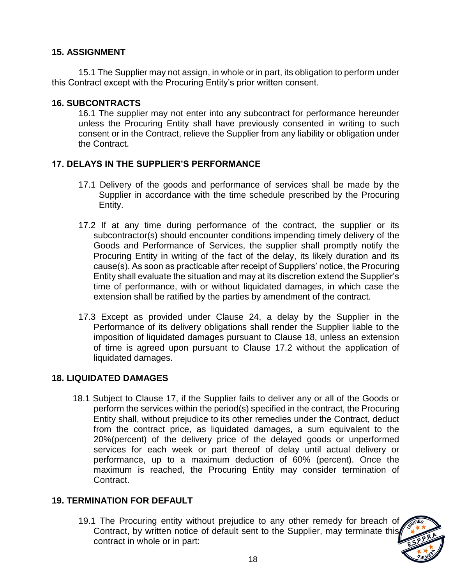## **15. ASSIGNMENT**

15.1 The Supplier may not assign, in whole or in part, its obligation to perform under this Contract except with the Procuring Entity's prior written consent.

#### **16. SUBCONTRACTS**

16.1 The supplier may not enter into any subcontract for performance hereunder unless the Procuring Entity shall have previously consented in writing to such consent or in the Contract, relieve the Supplier from any liability or obligation under the Contract.

## **17. DELAYS IN THE SUPPLIER'S PERFORMANCE**

- 17.1 Delivery of the goods and performance of services shall be made by the Supplier in accordance with the time schedule prescribed by the Procuring Entity.
- 17.2 If at any time during performance of the contract, the supplier or its subcontractor(s) should encounter conditions impending timely delivery of the Goods and Performance of Services, the supplier shall promptly notify the Procuring Entity in writing of the fact of the delay, its likely duration and its cause(s). As soon as practicable after receipt of Suppliers' notice, the Procuring Entity shall evaluate the situation and may at its discretion extend the Supplier's time of performance, with or without liquidated damages, in which case the extension shall be ratified by the parties by amendment of the contract.
- 17.3 Except as provided under Clause 24, a delay by the Supplier in the Performance of its delivery obligations shall render the Supplier liable to the imposition of liquidated damages pursuant to Clause 18, unless an extension of time is agreed upon pursuant to Clause 17.2 without the application of liquidated damages.

#### **18. LIQUIDATED DAMAGES**

18.1 Subject to Clause 17, if the Supplier fails to deliver any or all of the Goods or perform the services within the period(s) specified in the contract, the Procuring Entity shall, without prejudice to its other remedies under the Contract, deduct from the contract price, as liquidated damages, a sum equivalent to the 20%(percent) of the delivery price of the delayed goods or unperformed services for each week or part thereof of delay until actual delivery or performance, up to a maximum deduction of 60% (percent). Once the maximum is reached, the Procuring Entity may consider termination of Contract.

#### **19. TERMINATION FOR DEFAULT**

19.1 The Procuring entity without prejudice to any other remedy for breach of Contract, by written notice of default sent to the Supplier, may terminate this contract in whole or in part:

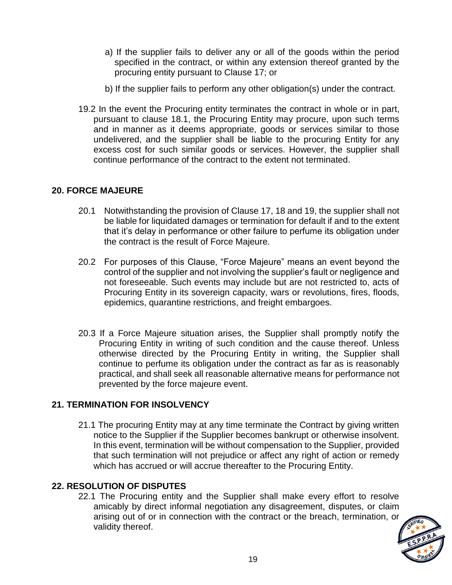- a) If the supplier fails to deliver any or all of the goods within the period specified in the contract, or within any extension thereof granted by the procuring entity pursuant to Clause 17; or
- b) If the supplier fails to perform any other obligation(s) under the contract.
- 19.2 In the event the Procuring entity terminates the contract in whole or in part, pursuant to clause 18.1, the Procuring Entity may procure, upon such terms and in manner as it deems appropriate, goods or services similar to those undelivered, and the supplier shall be liable to the procuring Entity for any excess cost for such similar goods or services. However, the supplier shall continue performance of the contract to the extent not terminated.

## **20. FORCE MAJEURE**

- 20.1 Notwithstanding the provision of Clause 17, 18 and 19, the supplier shall not be liable for liquidated damages or termination for default if and to the extent that it's delay in performance or other failure to perfume its obligation under the contract is the result of Force Majeure.
- 20.2 For purposes of this Clause, "Force Majeure" means an event beyond the control of the supplier and not involving the supplier's fault or negligence and not foreseeable. Such events may include but are not restricted to, acts of Procuring Entity in its sovereign capacity, wars or revolutions, fires, floods, epidemics, quarantine restrictions, and freight embargoes.
- 20.3 If a Force Majeure situation arises, the Supplier shall promptly notify the Procuring Entity in writing of such condition and the cause thereof. Unless otherwise directed by the Procuring Entity in writing, the Supplier shall continue to perfume its obligation under the contract as far as is reasonably practical, and shall seek all reasonable alternative means for performance not prevented by the force majeure event.

## **21. TERMINATION FOR INSOLVENCY**

21.1 The procuring Entity may at any time terminate the Contract by giving written notice to the Supplier if the Supplier becomes bankrupt or otherwise insolvent. In this event, termination will be without compensation to the Supplier, provided that such termination will not prejudice or affect any right of action or remedy which has accrued or will accrue thereafter to the Procuring Entity.

## **22. RESOLUTION OF DISPUTES**

22.1 The Procuring entity and the Supplier shall make every effort to resolve amicably by direct informal negotiation any disagreement, disputes, or claim arising out of or in connection with the contract or the breach, termination, or validity thereof.

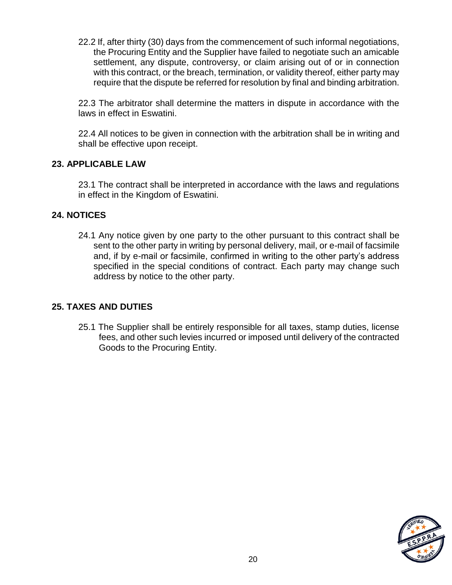22.2 If, after thirty (30) days from the commencement of such informal negotiations, the Procuring Entity and the Supplier have failed to negotiate such an amicable settlement, any dispute, controversy, or claim arising out of or in connection with this contract, or the breach, termination, or validity thereof, either party may require that the dispute be referred for resolution by final and binding arbitration.

22.3 The arbitrator shall determine the matters in dispute in accordance with the laws in effect in Eswatini.

22.4 All notices to be given in connection with the arbitration shall be in writing and shall be effective upon receipt.

## **23. APPLICABLE LAW**

23.1 The contract shall be interpreted in accordance with the laws and regulations in effect in the Kingdom of Eswatini.

## **24. NOTICES**

24.1 Any notice given by one party to the other pursuant to this contract shall be sent to the other party in writing by personal delivery, mail, or e-mail of facsimile and, if by e-mail or facsimile, confirmed in writing to the other party's address specified in the special conditions of contract. Each party may change such address by notice to the other party.

## **25. TAXES AND DUTIES**

25.1 The Supplier shall be entirely responsible for all taxes, stamp duties, license fees, and other such levies incurred or imposed until delivery of the contracted Goods to the Procuring Entity.

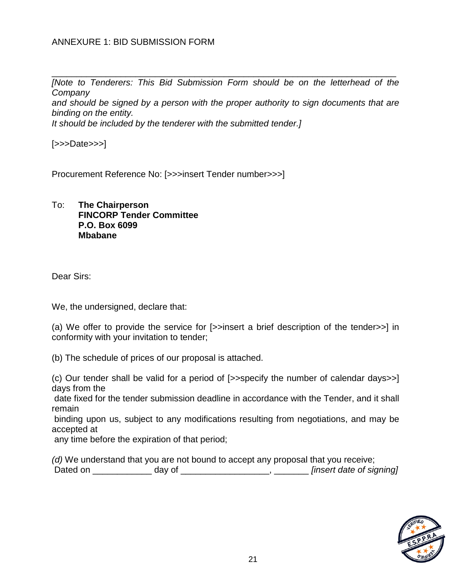## ANNEXURE 1: BID SUBMISSION FORM

\_\_\_\_\_\_\_\_\_\_\_\_\_\_\_\_\_\_\_\_\_\_\_\_\_\_\_\_\_\_\_\_\_\_\_\_\_\_\_\_\_\_\_\_\_\_\_\_\_\_\_\_\_\_\_\_\_\_\_\_\_\_\_\_\_\_\_\_\_\_ *INote to Tenderers: This Bid Submission Form should be on the letterhead of the Company* 

*and should be signed by a person with the proper authority to sign documents that are binding on the entity.* 

*It should be included by the tenderer with the submitted tender.]* 

[>>>Date>>>]

Procurement Reference No: [>>>insert Tender number>>>]

#### To: **The Chairperson FINCORP Tender Committee P.O. Box 6099 Mbabane**

Dear Sirs:

We, the undersigned, declare that:

(a) We offer to provide the service for [>>insert a brief description of the tender>>] in conformity with your invitation to tender;

(b) The schedule of prices of our proposal is attached.

(c) Our tender shall be valid for a period of [>>specify the number of calendar days>>] days from the

date fixed for the tender submission deadline in accordance with the Tender, and it shall remain

binding upon us, subject to any modifications resulting from negotiations, and may be accepted at

any time before the expiration of that period;

|          |        | (d) We understand that you are not bound to accept any proposal that you receive; |
|----------|--------|-----------------------------------------------------------------------------------|
| Dated on | day of | [insert date of signing]                                                          |

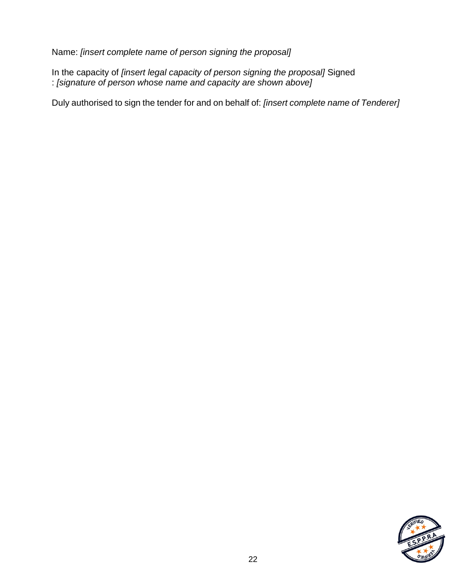Name: *[insert complete name of person signing the proposal]* 

In the capacity of *[insert legal capacity of person signing the proposal]* Signed : *[signature of person whose name and capacity are shown above]* 

Duly authorised to sign the tender for and on behalf of: *[insert complete name of Tenderer]*